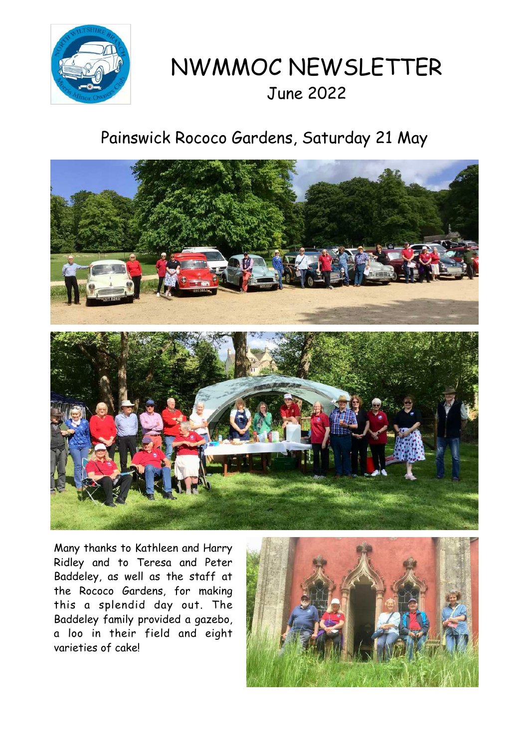

# NWMMOC NEWSLETTER June 2022

## Painswick Rococo Gardens, Saturday 21 May



Many thanks to Kathleen and Harry Ridley and to Teresa and Peter Baddeley, as well as the staff at the Rococo Gardens, for making this a splendid day out. The Baddeley family provided a gazebo, a loo in their field and eight varieties of cake!

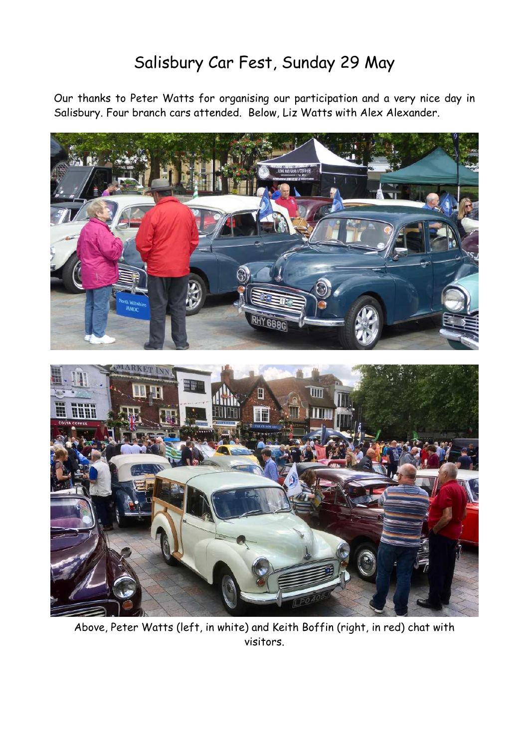### Salisbury Car Fest, Sunday 29 May

Our thanks to Peter Watts for organising our participation and a very nice day in Salisbury. Four branch cars attended. Below, Liz Watts with Alex Alexander.



Above, Peter Watts (left, in white) and Keith Boffin (right, in red) chat with visitors.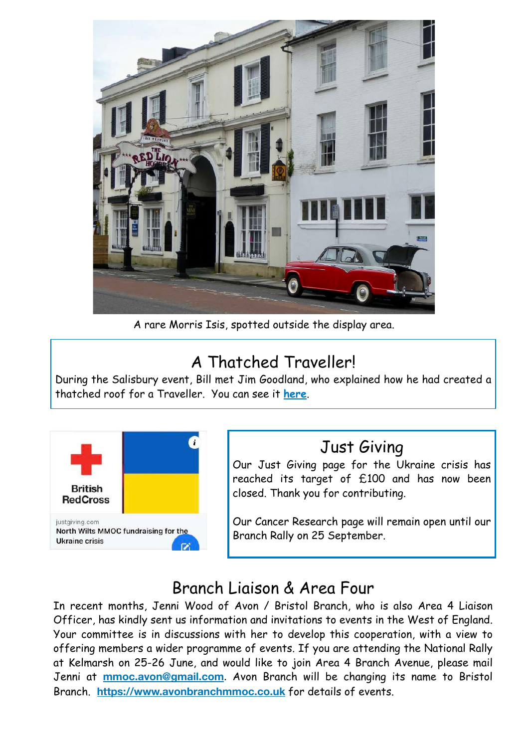

A rare Morris Isis, spotted outside the display area.

### A Thatched Traveller!

During the Salisbury event, Bill met Jim Goodland, who explained how he had created a thatched roof for a Traveller. You can see it **[here](https://www.shutterstock.com/editorial/image-editorial/car-with-a-thatched-roof-whiteparish-hampshire-britain-23-jun-2009-948677i)**.



#### Just Giving

Our Just Giving page for the Ukraine crisis has reached its target of £100 and has now been closed. Thank you for contributing.

Our Cancer Research page will remain open until our Branch Rally on 25 September.

### Branch Liaison & Area Four

In recent months, Jenni Wood of Avon / Bristol Branch, who is also Area 4 Liaison Officer, has kindly sent us information and invitations to events in the West of England. Your committee is in discussions with her to develop this cooperation, with a view to offering members a wider programme of events. If you are attending the National Rally at Kelmarsh on 25-26 June, and would like to join Area 4 Branch Avenue, please mail Jenni at **[mmoc.avon@gmail.com](mailto:mmoc.avon@gmail.com)**. Avon Branch will be changing its name to Bristol Branch. **<https://www.avonbranchmmoc.co.uk>** for details of events.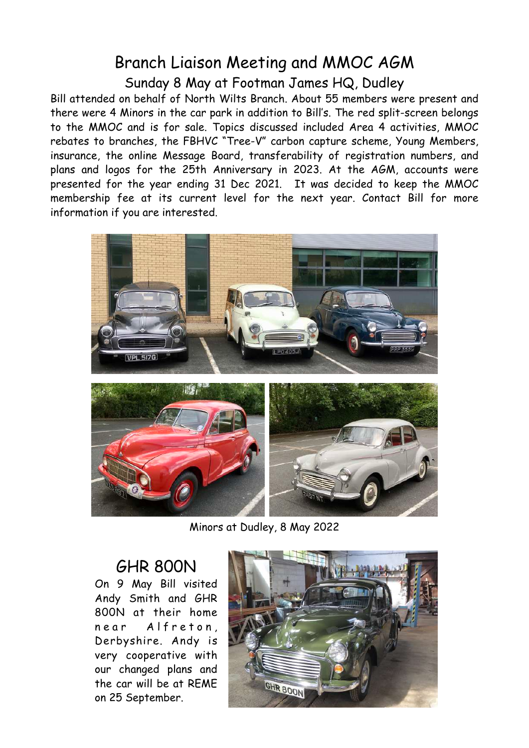#### Branch Liaison Meeting and MMOC AGM Sunday 8 May at Footman James HQ, Dudley

Bill attended on behalf of North Wilts Branch. About 55 members were present and there were 4 Minors in the car park in addition to Bill's. The red split-screen belongs to the MMOC and is for sale. Topics discussed included Area 4 activities, MMOC rebates to branches, the FBHVC "Tree-V" carbon capture scheme, Young Members, insurance, the online Message Board, transferability of registration numbers, and plans and logos for the 25th Anniversary in 2023. At the AGM, accounts were presented for the year ending 31 Dec 2021. It was decided to keep the MMOC membership fee at its current level for the next year. Contact Bill for more information if you are interested.



Minors at Dudley, 8 May 2022

#### GHR 800N

On 9 May Bill visited Andy Smith and GHR 800N at their home near Alfreton, Derbyshire. Andy is very cooperative with our changed plans and the car will be at REME on 25 September.